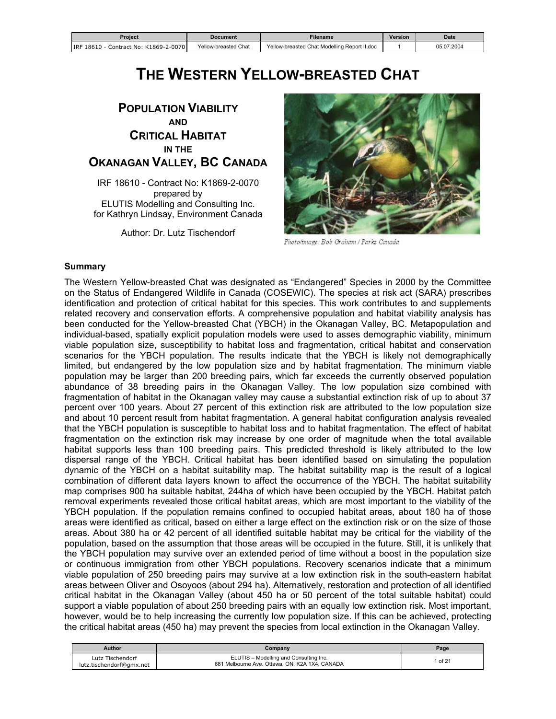<span id="page-0-0"></span>

| Proiect                                    | <b>Document</b>      | Filename                                     | Version | <b>Date</b> |
|--------------------------------------------|----------------------|----------------------------------------------|---------|-------------|
| IRF 18610 - 0<br>Contract No: K1869-2-0070 | Yellow-breasted Chat | Yellow-breasted Chat Modelling Report II.doc |         | 05.07.2004  |

# **THE WESTERN YELLOW-BREASTED CHAT**

# **POPULATION VIABILITY AND CRITICAL HABITAT IN THE OKANAGAN VALLEY, BC CANADA**

IRF 18610 - Contract No: K1869-2-0070 prepared by ELUTIS Modelling and Consulting Inc. for Kathryn Lindsay, Environment Canada

Author: Dr. Lutz Tischendorf



Photo/image: Bob Graham / Parks Canada

#### **Summary**

The Western Yellow-breasted Chat was designated as "Endangered" Species in 2000 by the Committee on the Status of Endangered Wildlife in Canada (COSEWIC). The species at risk act (SARA) prescribes identification and protection of critical habitat for this species. This work contributes to and supplements related recovery and conservation efforts. A comprehensive population and habitat viability analysis has been conducted for the Yellow-breasted Chat (YBCH) in the Okanagan Valley, BC. Metapopulation and individual-based, spatially explicit population models were used to asses demographic viability, minimum viable population size, susceptibility to habitat loss and fragmentation, critical habitat and conservation scenarios for the YBCH population. The results indicate that the YBCH is likely not demographically limited, but endangered by the low population size and by habitat fragmentation. The minimum viable population may be larger than 200 breeding pairs, which far exceeds the currently observed population abundance of 38 breeding pairs in the Okanagan Valley. The low population size combined with fragmentation of habitat in the Okanagan valley may cause a substantial extinction risk of up to about 37 percent over 100 years. About 27 percent of this extinction risk are attributed to the low population size and about 10 percent result from habitat fragmentation. A general habitat configuration analysis revealed that the YBCH population is susceptible to habitat loss and to habitat fragmentation. The effect of habitat fragmentation on the extinction risk may increase by one order of magnitude when the total available habitat supports less than 100 breeding pairs. This predicted threshold is likely attributed to the low dispersal range of the YBCH. Critical habitat has been identified based on simulating the population dynamic of the YBCH on a habitat suitability map. The habitat suitability map is the result of a logical combination of different data layers known to affect the occurrence of the YBCH. The habitat suitability map comprises 900 ha suitable habitat, 244ha of which have been occupied by the YBCH. Habitat patch removal experiments revealed those critical habitat areas, which are most important to the viability of the YBCH population. If the population remains confined to occupied habitat areas, about 180 ha of those areas were identified as critical, based on either a large effect on the extinction risk or on the size of those areas. About 380 ha or 42 percent of all identified suitable habitat may be critical for the viability of the population, based on the assumption that those areas will be occupied in the future. Still, it is unlikely that the YBCH population may survive over an extended period of time without a boost in the population size or continuous immigration from other YBCH populations. Recovery scenarios indicate that a minimum viable population of 250 breeding pairs may survive at a low extinction risk in the south-eastern habitat areas between Oliver and Osoyoos (about 294 ha). Alternatively, restoration and protection of all identified critical habitat in the Okanagan Valley (about 450 ha or 50 percent of the total suitable habitat) could support a viable population of about 250 breeding pairs with an equally low extinction risk. Most important, however, would be to help increasing the currently low population size. If this can be achieved, protecting the critical habitat areas (450 ha) may prevent the species from local extinction in the Okanagan Valley.

| <b>Author</b>                                | Company                                                                                  | Page    |
|----------------------------------------------|------------------------------------------------------------------------------------------|---------|
| Lutz Tischendorf<br>lutz.tischendorf@gmx.net | ELUTIS - Modelling and Consulting Inc.<br>681 Melbourne Ave. Ottawa, ON, K2A 1X4, CANADA | 1 of 21 |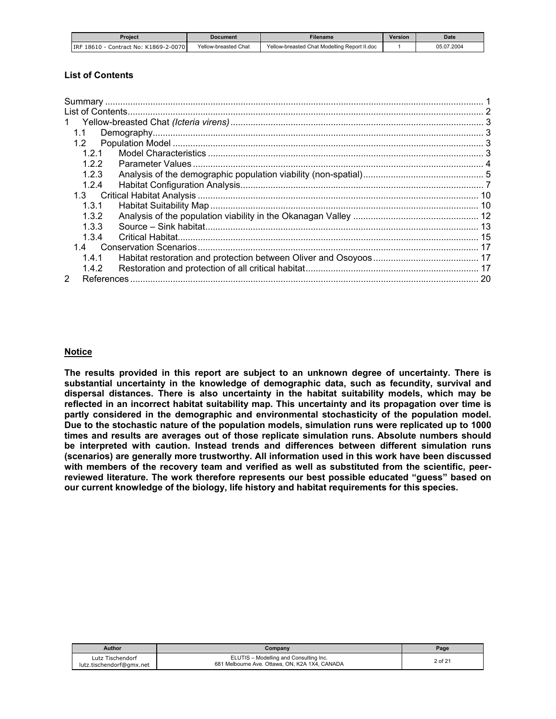<span id="page-1-0"></span>

| Proiect                               | <b>Document</b>      | <b>Filename</b>                              | Version | <b>Date</b> |
|---------------------------------------|----------------------|----------------------------------------------|---------|-------------|
| IRF 18610 - Contract No: K1869-2-0070 | Yellow-breasted Chat | Yellow-breasted Chat Modelling Report II.doc |         | 05.07.2004  |

# **List of Contents**

| 1.1           |  |
|---------------|--|
| 1.2           |  |
| 121           |  |
| 122           |  |
| 1.2.3         |  |
| 1.2.4         |  |
|               |  |
| 1.3.1         |  |
| 1.3.2         |  |
| 1.3.3         |  |
| 1 3 4         |  |
|               |  |
| 1.4.1         |  |
| 1.4.2         |  |
| $\mathcal{P}$ |  |

#### **Notice**

**The results provided in this report are subject to an unknown degree of uncertainty. There is substantial uncertainty in the knowledge of demographic data, such as fecundity, survival and dispersal distances. There is also uncertainty in the habitat suitability models, which may be reflected in an incorrect habitat suitability map. This uncertainty and its propagation over time is partly considered in the demographic and environmental stochasticity of the population model. Due to the stochastic nature of the population models, simulation runs were replicated up to 1000 times and results are averages out of those replicate simulation runs. Absolute numbers should be interpreted with caution. Instead trends and differences between different simulation runs (scenarios) are generally more trustworthy. All information used in this work have been discussed with members of the recovery team and verified as well as substituted from the scientific, peerreviewed literature. The work therefore represents our best possible educated "guess" based on our current knowledge of the biology, life history and habitat requirements for this species.** 

| <b>Author</b>                                | Company                                                                                  | Page    |
|----------------------------------------------|------------------------------------------------------------------------------------------|---------|
| Lutz Tischendorf<br>lutz.tischendorf@gmx.net | ELUTIS - Modelling and Consulting Inc.<br>681 Melbourne Ave. Ottawa, ON, K2A 1X4, CANADA | 2 of 21 |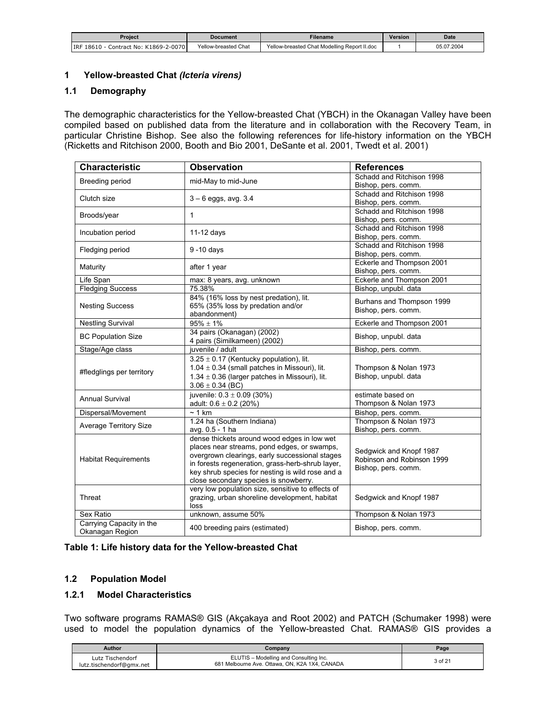<span id="page-2-0"></span>

| Proiect                                  | Document             | <b>Filename</b>                              | <b>Version</b> | <b>Date</b> |
|------------------------------------------|----------------------|----------------------------------------------|----------------|-------------|
| Contract No: K1869-2-0070<br>IRF 18610 - | Yellow-breasted Chat | Yellow-breasted Chat Modelling Report II.doc |                | 05.07.2004  |

#### **1 Yellow-breasted Chat** *(Icteria virens)*

#### **1.1 Demography**

The demographic characteristics for the Yellow-breasted Chat (YBCH) in the Okanagan Valley have been compiled based on published data from the literature and in collaboration with the Recovery Team, in particular Christine Bishop. See also the following references for life-history information on the YBCH (Ricketts and Ritchison 2000, Booth and Bio 2001, DeSante et al. 2001, Twedt et al. 2001)

| <b>Characteristic</b>         | <b>Observation</b>                                 | <b>References</b>                                |  |
|-------------------------------|----------------------------------------------------|--------------------------------------------------|--|
| Breeding period               | mid-May to mid-June                                | Schadd and Ritchison 1998                        |  |
|                               |                                                    | Bishop, pers. comm.                              |  |
| Clutch size                   | $3 - 6$ eggs, avg. 3.4                             | Schadd and Ritchison 1998                        |  |
|                               |                                                    | Bishop, pers. comm.<br>Schadd and Ritchison 1998 |  |
| Broods/year                   | 1                                                  | Bishop, pers. comm.                              |  |
|                               |                                                    | Schadd and Ritchison 1998                        |  |
| Incubation period             | $11-12$ days                                       | Bishop, pers. comm.                              |  |
| Fledging period               | 9-10 days                                          | Schadd and Ritchison 1998                        |  |
|                               |                                                    | Bishop, pers. comm.                              |  |
| Maturity                      | after 1 year                                       | Eckerle and Thompson 2001                        |  |
|                               |                                                    | Bishop, pers. comm.                              |  |
| Life Span                     | max: 8 years, avg. unknown                         | Eckerle and Thompson 2001                        |  |
| <b>Fledging Success</b>       | 75.38%                                             | Bishop, unpubl. data                             |  |
|                               | 84% (16% loss by nest predation), lit.             |                                                  |  |
| <b>Nesting Success</b>        | 65% (35% loss by predation and/or                  | Burhans and Thompson 1999                        |  |
| abandonment)                  |                                                    | Bishop, pers. comm.                              |  |
| <b>Nestling Survival</b>      | $95\% \pm 1\%$                                     | Eckerle and Thompson 2001                        |  |
| <b>BC Population Size</b>     | 34 pairs (Okanagan) (2002)                         | Bishop, unpubl. data                             |  |
|                               | 4 pairs (Similkameen) (2002)                       |                                                  |  |
| Stage/Age class               | juvenile / adult                                   | Bishop, pers. comm.                              |  |
|                               | $3.25 \pm 0.17$ (Kentucky population), lit.        |                                                  |  |
|                               | 1.04 $\pm$ 0.34 (small patches in Missouri), lit.  | Thompson & Nolan 1973                            |  |
| #fledglings per territory     | 1.34 $\pm$ 0.36 (larger patches in Missouri), lit. | Bishop, unpubl. data                             |  |
|                               | $3.06 \pm 0.34$ (BC)                               |                                                  |  |
|                               | juvenile: $0.3 \pm 0.09$ (30%)                     | estimate based on                                |  |
| Annual Survival               | adult: $0.6 \pm 0.2$ (20%)                         | Thompson & Nolan 1973                            |  |
| Dispersal/Movement            | $~1$ km                                            | Bishop, pers. comm.                              |  |
|                               | 1.24 ha (Southern Indiana)                         | Thompson & Nolan 1973                            |  |
| <b>Average Territory Size</b> | avg. 0.5 - 1 ha                                    | Bishop, pers. comm.                              |  |
|                               | dense thickets around wood edges in low wet        |                                                  |  |
|                               | places near streams, pond edges, or swamps,        |                                                  |  |
|                               | overgrown clearings, early successional stages     | Sedgwick and Knopf 1987                          |  |
| <b>Habitat Requirements</b>   | in forests regeneration, grass-herb-shrub layer,   | Robinson and Robinson 1999                       |  |
|                               | key shrub species for nesting is wild rose and a   | Bishop, pers. comm.                              |  |
|                               | close secondary species is snowberry.              |                                                  |  |
|                               | very low population size, sensitive to effects of  |                                                  |  |
| Threat                        | grazing, urban shoreline development, habitat      | Sedgwick and Knopf 1987                          |  |
|                               | loss                                               |                                                  |  |
| Sex Ratio                     | unknown, assume 50%                                | Thompson & Nolan 1973                            |  |
| Carrying Capacity in the      |                                                    |                                                  |  |
| Okanagan Region               | 400 breeding pairs (estimated)                     | Bishop, pers. comm.                              |  |

|  |  | Table 1: Life history data for the Yellow-breasted Chat |  |
|--|--|---------------------------------------------------------|--|
|--|--|---------------------------------------------------------|--|

#### **1.2 Population Model**

# **1.2.1 Model Characteristics**

Two software programs RAMAS® GIS (Akçakaya and Root 2002) and PATCH (Schumaker 1998) were used to model the population dynamics of the Yellow-breasted Chat. RAMAS® GIS provides a

| <b>Author</b>                                | Company                                                                                  | Page    |
|----------------------------------------------|------------------------------------------------------------------------------------------|---------|
| Lutz Tischendorf<br>lutz.tischendorf@gmx.net | ELUTIS - Modelling and Consulting Inc.<br>681 Melbourne Ave. Ottawa, ON, K2A 1X4, CANADA | 3 of 21 |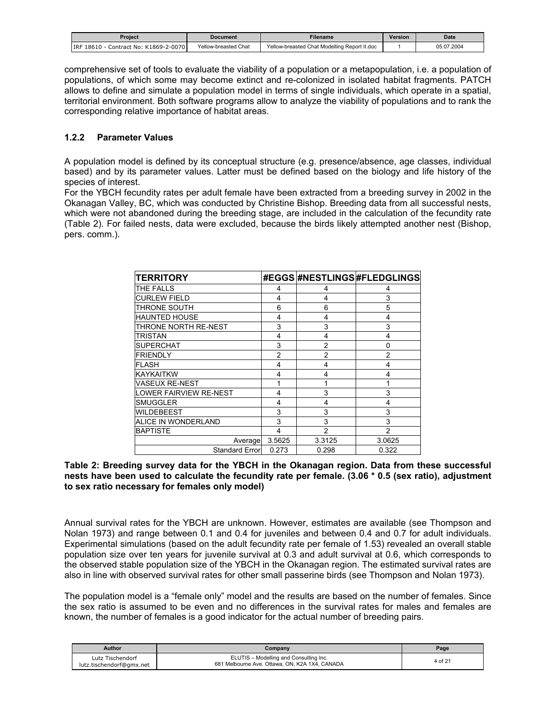<span id="page-3-0"></span>

| Proiect                                  | <b>Document</b>      | -ilename                                     | <b>Version</b> | <b>Date</b> |
|------------------------------------------|----------------------|----------------------------------------------|----------------|-------------|
| Contract No: K1869-2-0070<br>IRF 18610 - | Yellow-breasted Chat | Yellow-breasted Chat Modelling Report II.doc |                | 05.07.2004  |

comprehensive set of tools to evaluate the viability of a population or a metapopulation, i.e. a population of populations, of which some may become extinct and re-colonized in isolated habitat fragments. PATCH allows to define and simulate a population model in terms of single individuals, which operate in a spatial, territorial environment. Both software programs allow to analyze the viability of populations and to rank the corresponding relative importance of habitat areas.

#### **1.2.2 Parameter Values**

A population model is defined by its conceptual structure (e.g. presence/absence, age classes, individual based) and by its parameter values. Latter must be defined based on the biology and life history of the species of interest.

For the YBCH fecundity rates per adult female have been extracted from a breeding survey in 2002 in the Okanagan Valley, BC, which was conducted by Christine Bishop. Breeding data from all successful nests, which were not abandoned during the breeding stage, are included in the calculation of the fecundity rate (Table 2). For failed nests, data were excluded, because the birds likely attempted another nest (Bishop, pers. comm.).

| <b>TERRITORY</b>       |                |                | #EGGS #NESTLINGS #FLEDGLINGS |
|------------------------|----------------|----------------|------------------------------|
| THE FALLS              | 4              | 4              | 4                            |
| <b>CURLEW FIELD</b>    | 4              | 4              | 3                            |
| THRONE SOUTH           | 6              | 6              | 5                            |
| <b>HAUNTED HOUSE</b>   | 4              | 4              | 4                            |
| THRONE NORTH RE-NEST   | 3              | 3              | 3                            |
| TRISTAN                | 4              | 4              | 4                            |
| <b>SUPERCHAT</b>       | 3              | $\overline{2}$ | 0                            |
| <b>FRIENDLY</b>        | $\overline{2}$ | $\overline{2}$ | $\overline{2}$               |
| <b>FLASH</b>           | 4              | 4              | 4                            |
| <b>KAYKAITKW</b>       | 4              | 4              | 4                            |
| <b>VASEUX RE-NEST</b>  |                | 1              | 1                            |
| LOWER FAIRVIEW RE-NEST | 4              | 3              | 3                            |
| <b>SMUGGLER</b>        | 4              | 4              | 4                            |
| WILDEBEEST             | 3              | 3              | 3                            |
| ALICE IN WONDERLAND    | 3              | 3              | 3                            |
| <b>BAPTISTE</b>        | 4              | $\overline{2}$ | $\overline{2}$               |
| Average                | 3.5625         | 3.3125         | 3.0625                       |
| <b>Standard Error</b>  | 0.273          | 0.298          | 0.322                        |

#### **Table 2: Breeding survey data for the YBCH in the Okanagan region. Data from these successful nests have been used to calculate the fecundity rate per female. (3.06 \* 0.5 (sex ratio), adjustment to sex ratio necessary for females only model)**

Annual survival rates for the YBCH are unknown. However, estimates are available (see Thompson and Nolan 1973) and range between 0.1 and 0.4 for juveniles and between 0.4 and 0.7 for adult individuals. Experimental simulations (based on the adult fecundity rate per female of 1.53) revealed an overall stable population size over ten years for juvenile survival at 0.3 and adult survival at 0.6, which corresponds to the observed stable population size of the YBCH in the Okanagan region. The estimated survival rates are also in line with observed survival rates for other small passerine birds (see Thompson and Nolan 1973).

The population model is a "female only" model and the results are based on the number of females. Since the sex ratio is assumed to be even and no differences in the survival rates for males and females are known, the number of females is a good indicator for the actual number of breeding pairs.

| Author                                       | Company                                                                                  | Page    |
|----------------------------------------------|------------------------------------------------------------------------------------------|---------|
| Lutz Tischendorf<br>lutz.tischendorf@gmx.net | ELUTIS - Modelling and Consulting Inc.<br>681 Melbourne Ave. Ottawa, ON, K2A 1X4, CANADA | 4 of 21 |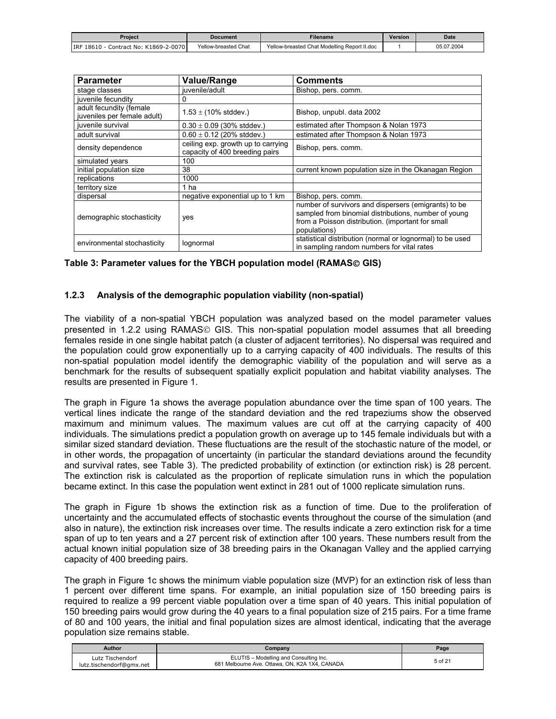<span id="page-4-0"></span>

| Proiect                                    | Document             | Filename                                     | Version | <b>Date</b> |
|--------------------------------------------|----------------------|----------------------------------------------|---------|-------------|
| Contract No: K1869-2-0070<br>IRF 18610 - 0 | Yellow-breasted Chat | Yellow-breasted Chat Modelling Report II.doc |         | 05.07.2004  |

| <b>Parameter</b>                                       | <b>Value/Range</b>                                                   | <b>Comments</b>                                                                                                                                                                   |
|--------------------------------------------------------|----------------------------------------------------------------------|-----------------------------------------------------------------------------------------------------------------------------------------------------------------------------------|
| stage classes                                          | iuvenile/adult                                                       | Bishop, pers. comm.                                                                                                                                                               |
| juvenile fecundity                                     | 0                                                                    |                                                                                                                                                                                   |
| adult fecundity (female<br>juveniles per female adult) | $1.53 \pm (10\% \text{ stddev.})$                                    | Bishop, unpubl. data 2002                                                                                                                                                         |
| juvenile survival                                      | $0.30 \pm 0.09$ (30% stddev.)                                        | estimated after Thompson & Nolan 1973                                                                                                                                             |
| adult survival                                         | $0.60 \pm 0.12$ (20% stddev.)                                        | estimated after Thompson & Nolan 1973                                                                                                                                             |
| density dependence                                     | ceiling exp. growth up to carrying<br>capacity of 400 breeding pairs | Bishop, pers. comm.                                                                                                                                                               |
| simulated years                                        | 100                                                                  |                                                                                                                                                                                   |
| initial population size                                | 38                                                                   | current known population size in the Okanagan Region                                                                                                                              |
| replications                                           | 1000                                                                 |                                                                                                                                                                                   |
| territory size                                         | 1 ha                                                                 |                                                                                                                                                                                   |
| dispersal                                              | negative exponential up to 1 km                                      | Bishop, pers. comm.                                                                                                                                                               |
| demographic stochasticity                              | yes                                                                  | number of survivors and dispersers (emigrants) to be<br>sampled from binomial distributions, number of young<br>from a Poisson distribution. (important for small<br>populations) |
| environmental stochasticity                            | lognormal                                                            | statistical distribution (normal or lognormal) to be used<br>in sampling random numbers for vital rates                                                                           |

#### Table 3: Parameter values for the YBCH population model (RAMAS© GIS)

#### **1.2.3 Analysis of the demographic population viability (non-spatial)**

The viability of a non-spatial YBCH population was analyzed based on the model parameter values presented in 1.2.2 using RAMAS© GIS. This non-spatial population model assumes that all breeding females reside in one single habitat patch (a cluster of adjacent territories). No dispersal was required and the population could grow exponentially up to a carrying capacity of 400 individuals. The results of this non-spatial population model identify the demographic viability of the population and will serve as a benchmark for the results of subsequent spatially explicit population and habitat viability analyses. The results are presented in Figure 1.

The graph in Figure 1a shows the average population abundance over the time span of 100 years. The vertical lines indicate the range of the standard deviation and the red trapeziums show the observed maximum and minimum values. The maximum values are cut off at the carrying capacity of 400 individuals. The simulations predict a population growth on average up to 145 female individuals but with a similar sized standard deviation. These fluctuations are the result of the stochastic nature of the model, or in other words, the propagation of uncertainty (in particular the standard deviations around the fecundity and survival rates, see Table 3). The predicted probability of extinction (or extinction risk) is 28 percent. The extinction risk is calculated as the proportion of replicate simulation runs in which the population became extinct. In this case the population went extinct in 281 out of 1000 replicate simulation runs.

The graph in Figure 1b shows the extinction risk as a function of time. Due to the proliferation of uncertainty and the accumulated effects of stochastic events throughout the course of the simulation (and also in nature), the extinction risk increases over time. The results indicate a zero extinction risk for a time span of up to ten years and a 27 percent risk of extinction after 100 years. These numbers result from the actual known initial population size of 38 breeding pairs in the Okanagan Valley and the applied carrying capacity of 400 breeding pairs.

The graph in Figure 1c shows the minimum viable population size (MVP) for an extinction risk of less than 1 percent over different time spans. For example, an initial population size of 150 breeding pairs is required to realize a 99 percent viable population over a time span of 40 years. This initial population of 150 breeding pairs would grow during the 40 years to a final population size of 215 pairs. For a time frame of 80 and 100 years, the initial and final population sizes are almost identical, indicating that the average population size remains stable.

| <b>Author</b>                                | Company                                                                                  | Page    |
|----------------------------------------------|------------------------------------------------------------------------------------------|---------|
| Lutz Tischendorf<br>lutz.tischendorf@gmx.net | ELUTIS - Modelling and Consulting Inc.<br>681 Melbourne Ave. Ottawa, ON, K2A 1X4, CANADA | 5 of 21 |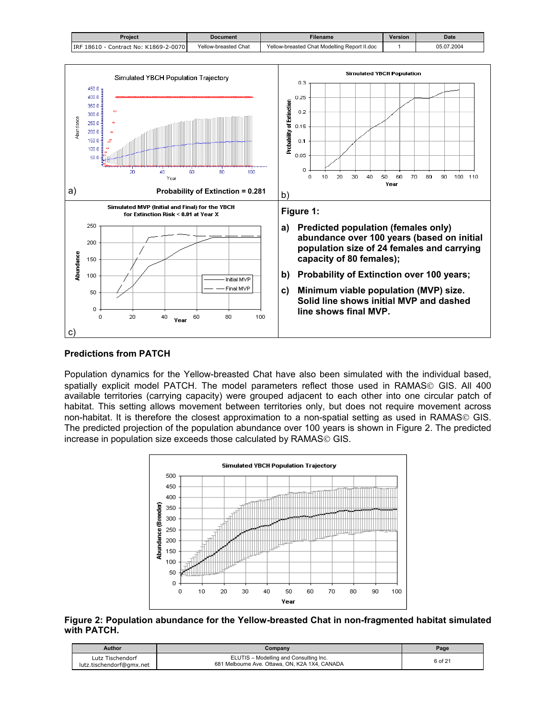<span id="page-5-0"></span>

| Proiect                                           | <b>Document</b>      | Filename                                     | Version | <b>Date</b> |
|---------------------------------------------------|----------------------|----------------------------------------------|---------|-------------|
| <b>IRF 18610</b><br>) - Contract No: K1869-2-0070 | Yellow-breasted Chat | Yellow-breasted Chat Modelling Report II.doc |         | 05.07.2004  |



#### **Predictions from PATCH**

Population dynamics for the Yellow-breasted Chat have also been simulated with the individual based, spatially explicit model PATCH. The model parameters reflect those used in RAMAS© GIS. All 400 available territories (carrying capacity) were grouped adjacent to each other into one circular patch of habitat. This setting allows movement between territories only, but does not require movement across non-habitat. It is therefore the closest approximation to a non-spatial setting as used in RAMAS© GIS. The predicted projection of the population abundance over 100 years is shown in Figure 2. The predicted increase in population size exceeds those calculated by RAMAS<sup>®</sup> GIS.



**Figure 2: Population abundance for the Yellow-breasted Chat in non-fragmented habitat simulated with PATCH.** 

| Author                                       | Company                                                                                  | Page    |
|----------------------------------------------|------------------------------------------------------------------------------------------|---------|
| Lutz Tischendorf<br>lutz.tischendorf@gmx.net | ELUTIS - Modelling and Consulting Inc.<br>681 Melbourne Ave. Ottawa, ON, K2A 1X4, CANADA | 6 of 21 |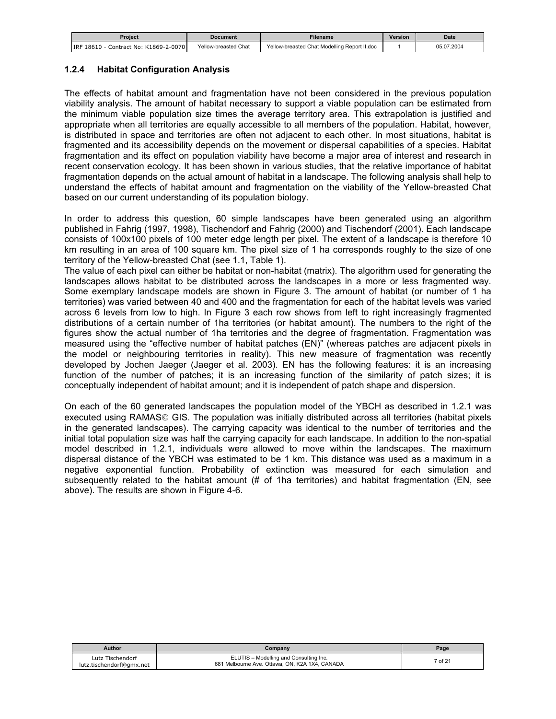<span id="page-6-0"></span>

| Proiect                                | Document             | <b>Filename</b>                              | <b>Version</b> | <b>Date</b> |
|----------------------------------------|----------------------|----------------------------------------------|----------------|-------------|
| Contract No: K1869-2-0070<br>IRF 18610 | Yellow-breasted Chat | Yellow-breasted Chat Modelling Report II.doc |                | 05.07.2004  |

#### **1.2.4 Habitat Configuration Analysis**

The effects of habitat amount and fragmentation have not been considered in the previous population viability analysis. The amount of habitat necessary to support a viable population can be estimated from the minimum viable population size times the average territory area. This extrapolation is justified and appropriate when all territories are equally accessible to all members of the population. Habitat, however, is distributed in space and territories are often not adjacent to each other. In most situations, habitat is fragmented and its accessibility depends on the movement or dispersal capabilities of a species. Habitat fragmentation and its effect on population viability have become a major area of interest and research in recent conservation ecology. It has been shown in various studies, that the relative importance of habitat fragmentation depends on the actual amount of habitat in a landscape. The following analysis shall help to understand the effects of habitat amount and fragmentation on the viability of the Yellow-breasted Chat based on our current understanding of its population biology.

In order to address this question, 60 simple landscapes have been generated using an algorithm published in Fahrig (1997, 1998), Tischendorf and Fahrig (2000) and Tischendorf (2001). Each landscape consists of 100x100 pixels of 100 meter edge length per pixel. The extent of a landscape is therefore 10 km resulting in an area of 100 square km. The pixel size of 1 ha corresponds roughly to the size of one territory of the Yellow-breasted Chat (see 1.1, Table 1).

The value of each pixel can either be habitat or non-habitat (matrix). The algorithm used for generating the landscapes allows habitat to be distributed across the landscapes in a more or less fragmented way. Some exemplary landscape models are shown in Figure 3. The amount of habitat (or number of 1 ha territories) was varied between 40 and 400 and the fragmentation for each of the habitat levels was varied across 6 levels from low to high. In Figure 3 each row shows from left to right increasingly fragmented distributions of a certain number of 1ha territories (or habitat amount). The numbers to the right of the figures show the actual number of 1ha territories and the degree of fragmentation. Fragmentation was measured using the "effective number of habitat patches (EN)" (whereas patches are adjacent pixels in the model or neighbouring territories in reality). This new measure of fragmentation was recently developed by Jochen Jaeger (Jaeger et al. 2003). EN has the following features: it is an increasing function of the number of patches; it is an increasing function of the similarity of patch sizes; it is conceptually independent of habitat amount; and it is independent of patch shape and dispersion.

On each of the 60 generated landscapes the population model of the YBCH as described in 1.2.1 was executed using RAMAS© GIS. The population was initially distributed across all territories (habitat pixels in the generated landscapes). The carrying capacity was identical to the number of territories and the initial total population size was half the carrying capacity for each landscape. In addition to the non-spatial model described in 1.2.1, individuals were allowed to move within the landscapes. The maximum dispersal distance of the YBCH was estimated to be 1 km. This distance was used as a maximum in a negative exponential function. Probability of extinction was measured for each simulation and subsequently related to the habitat amount (# of 1ha territories) and habitat fragmentation (EN, see above). The results are shown in Figure 4-6.

| Author                                       | Company                                                                                  | P <sub>age</sub> |
|----------------------------------------------|------------------------------------------------------------------------------------------|------------------|
| Lutz Tischendorf<br>lutz.tischendorf@gmx.net | ELUTIS - Modelling and Consulting Inc.<br>681 Melbourne Ave. Ottawa, ON, K2A 1X4, CANADA | 7 of 21          |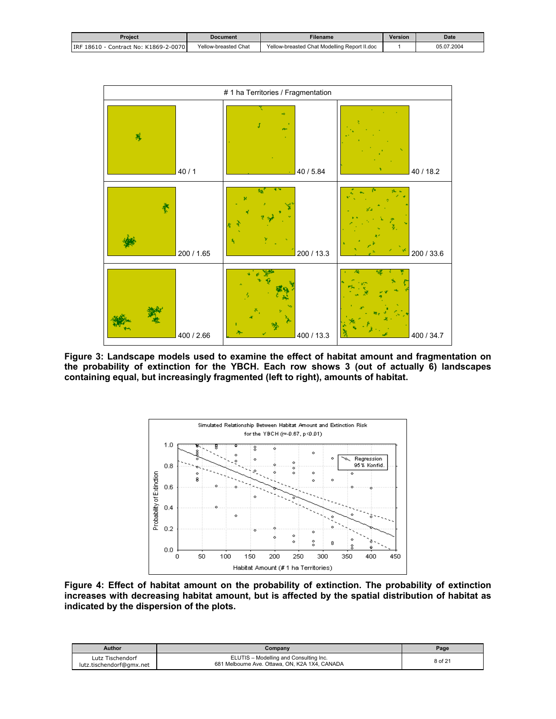<span id="page-7-0"></span>

| Proiect                               | Document             | <b>Filename</b>                              | Version | <b>Date</b> |
|---------------------------------------|----------------------|----------------------------------------------|---------|-------------|
| IRF 18610 - Contract No: K1869-2-0070 | Yellow-breasted Chat | Yellow-breasted Chat Modelling Report II.doc |         | 05.07.2004  |



**Figure 3: Landscape models used to examine the effect of habitat amount and fragmentation on the probability of extinction for the YBCH. Each row shows 3 (out of actually 6) landscapes containing equal, but increasingly fragmented (left to right), amounts of habitat.** 



**Figure 4: Effect of habitat amount on the probability of extinction. The probability of extinction increases with decreasing habitat amount, but is affected by the spatial distribution of habitat as indicated by the dispersion of the plots.** 

| Author                                       | Company                                                                                  | Page    |
|----------------------------------------------|------------------------------------------------------------------------------------------|---------|
| Lutz Tischendorf<br>lutz.tischendorf@gmx.net | ELUTIS - Modelling and Consulting Inc.<br>681 Melbourne Ave. Ottawa, ON, K2A 1X4, CANADA | 8 of 21 |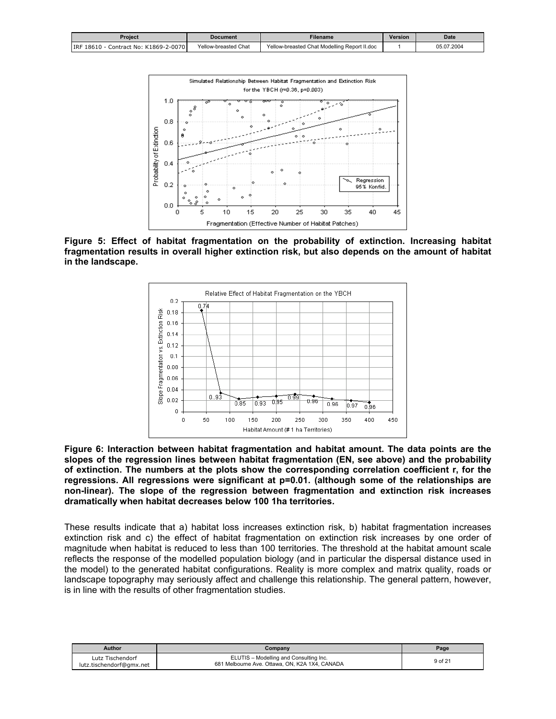<span id="page-8-0"></span>

| Proiect                                  | Document             | -ilename                                     | <b>Version</b> | <b>Date</b> |
|------------------------------------------|----------------------|----------------------------------------------|----------------|-------------|
| Contract No: K1869-2-0070<br>IRF 18610 - | Yellow-breasted Chat | Yellow-breasted Chat Modelling Report II.doc |                | 05.07.2004  |



**Figure 5: Effect of habitat fragmentation on the probability of extinction. Increasing habitat fragmentation results in overall higher extinction risk, but also depends on the amount of habitat in the landscape.** 



**Figure 6: Interaction between habitat fragmentation and habitat amount. The data points are the slopes of the regression lines between habitat fragmentation (EN, see above) and the probability of extinction. The numbers at the plots show the corresponding correlation coefficient r, for the regressions. All regressions were significant at p=0.01. (although some of the relationships are non-linear). The slope of the regression between fragmentation and extinction risk increases dramatically when habitat decreases below 100 1ha territories.** 

These results indicate that a) habitat loss increases extinction risk, b) habitat fragmentation increases extinction risk and c) the effect of habitat fragmentation on extinction risk increases by one order of magnitude when habitat is reduced to less than 100 territories. The threshold at the habitat amount scale reflects the response of the modelled population biology (and in particular the dispersal distance used in the model) to the generated habitat configurations. Reality is more complex and matrix quality, roads or landscape topography may seriously affect and challenge this relationship. The general pattern, however, is in line with the results of other fragmentation studies.

| Author                                       | Company                                                                                  | Page    |
|----------------------------------------------|------------------------------------------------------------------------------------------|---------|
| Lutz Tischendorf<br>lutz.tischendorf@gmx.net | ELUTIS - Modelling and Consulting Inc.<br>681 Melbourne Ave. Ottawa, ON, K2A 1X4, CANADA | 9 of 21 |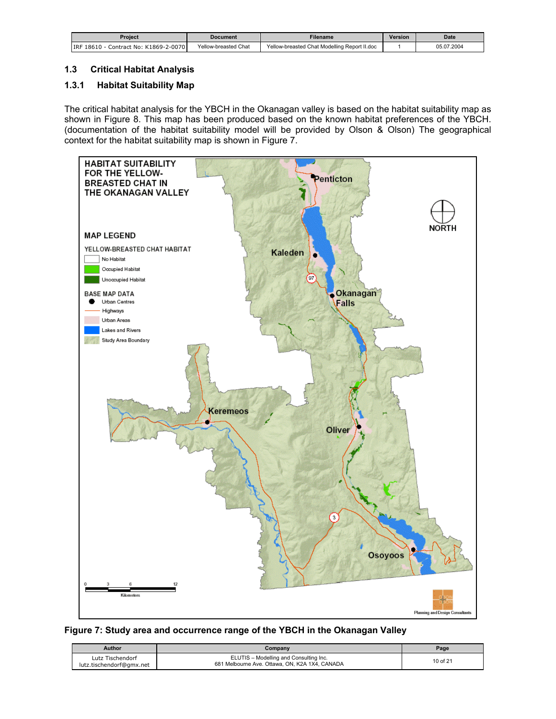<span id="page-9-0"></span>

| Proiect                                  | <b>Document</b>      | <b>Filename</b>                              | <b>Version</b> | <b>Date</b> |
|------------------------------------------|----------------------|----------------------------------------------|----------------|-------------|
| Contract No: K1869-2-0070<br>IRF 18610 - | Yellow-breasted Chat | Yellow-breasted Chat Modelling Report II.doc |                | 05.07.2004  |

# **1.3 Critical Habitat Analysis**

# **1.3.1 Habitat Suitability Map**

The critical habitat analysis for the YBCH in the Okanagan valley is based on the habitat suitability map as shown in Figure 8. This map has been produced based on the known habitat preferences of the YBCH. (documentation of the habitat suitability model will be provided by Olson & Olson) The geographical context for the habitat suitability map is shown in Figure 7.



#### **Figure 7: Study area and occurrence range of the YBCH in the Okanagan Valley**

| Author                                       | Company                                                                                  | Page     |
|----------------------------------------------|------------------------------------------------------------------------------------------|----------|
| Lutz Tischendorf<br>lutz.tischendorf@gmx.net | ELUTIS - Modelling and Consulting Inc.<br>681 Melbourne Ave. Ottawa, ON, K2A 1X4, CANADA | 10 of 21 |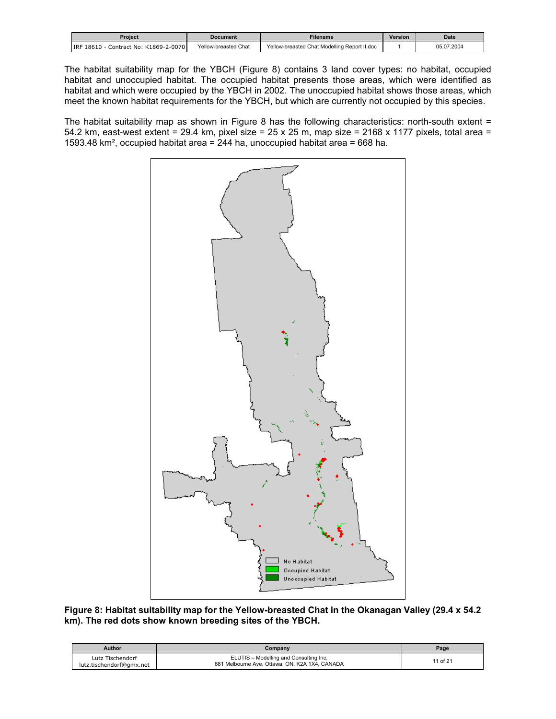<span id="page-10-0"></span>

| Proiect                                  | Document             | Filename                                     | <b>Version</b> | <b>Date</b> |
|------------------------------------------|----------------------|----------------------------------------------|----------------|-------------|
| Contract No: K1869-2-0070<br>IRF 18610 - | Yellow-breasted Chat | Yellow-breasted Chat Modelling Report II.doc |                | 05.07.2004  |

The habitat suitability map for the YBCH (Figure 8) contains 3 land cover types: no habitat, occupied habitat and unoccupied habitat. The occupied habitat presents those areas, which were identified as habitat and which were occupied by the YBCH in 2002. The unoccupied habitat shows those areas, which meet the known habitat requirements for the YBCH, but which are currently not occupied by this species.

The habitat suitability map as shown in Figure 8 has the following characteristics: north-south extent = 54.2 km, east-west extent = 29.4 km, pixel size =  $25 \times 25$  m, map size =  $2168 \times 1177$  pixels, total area = 1593.48 km², occupied habitat area = 244 ha, unoccupied habitat area = 668 ha.



**Figure 8: Habitat suitability map for the Yellow-breasted Chat in the Okanagan Valley (29.4 x 54.2 km). The red dots show known breeding sites of the YBCH.** 

| <b>Author</b>                                | Company                                                                                  | Page     |
|----------------------------------------------|------------------------------------------------------------------------------------------|----------|
| Lutz Tischendorf<br>lutz.tischendorf@gmx.net | ELUTIS - Modelling and Consulting Inc.<br>681 Melbourne Ave. Ottawa, ON, K2A 1X4, CANADA | 11 of 21 |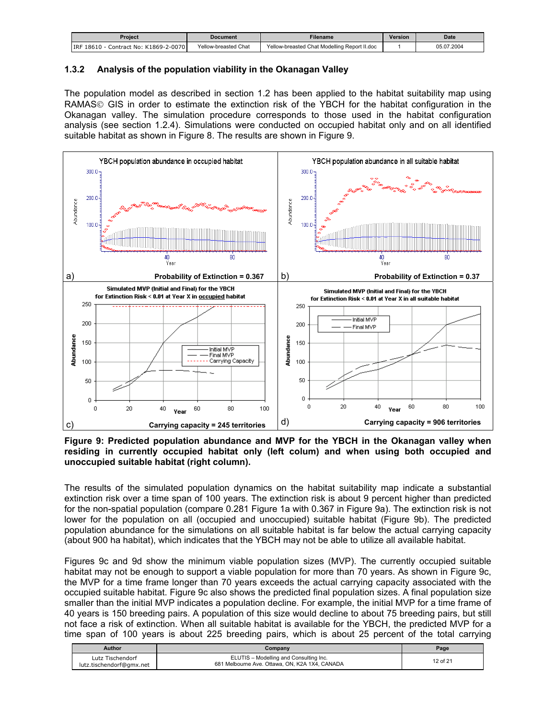<span id="page-11-0"></span>

| Proiect                                | Document             | -ilename                                     | <b>Version</b> | <b>Date</b> |
|----------------------------------------|----------------------|----------------------------------------------|----------------|-------------|
| Contract No: K1869-2-0070<br>IRF 18610 | Yellow-breasted Chat | Yellow-breasted Chat Modelling Report II.doc |                | 05.07.2004  |

## **1.3.2 Analysis of the population viability in the Okanagan Valley**

The population model as described in section 1.2 has been applied to the habitat suitability map using RAMAS© GIS in order to estimate the extinction risk of the YBCH for the habitat configuration in the Okanagan valley. The simulation procedure corresponds to those used in the habitat configuration analysis (see section 1.2.4). Simulations were conducted on occupied habitat only and on all identified suitable habitat as shown in Figure 8. The results are shown in Figure 9.



**Figure 9: Predicted population abundance and MVP for the YBCH in the Okanagan valley when residing in currently occupied habitat only (left colum) and when using both occupied and unoccupied suitable habitat (right column).** 

The results of the simulated population dynamics on the habitat suitability map indicate a substantial extinction risk over a time span of 100 years. The extinction risk is about 9 percent higher than predicted for the non-spatial population (compare 0.281 Figure 1a with 0.367 in Figure 9a). The extinction risk is not lower for the population on all (occupied and unoccupied) suitable habitat (Figure 9b). The predicted population abundance for the simulations on all suitable habitat is far below the actual carrying capacity (about 900 ha habitat), which indicates that the YBCH may not be able to utilize all available habitat.

Figures 9c and 9d show the minimum viable population sizes (MVP). The currently occupied suitable habitat may not be enough to support a viable population for more than 70 years. As shown in Figure 9c, the MVP for a time frame longer than 70 years exceeds the actual carrying capacity associated with the occupied suitable habitat. Figure 9c also shows the predicted final population sizes. A final population size smaller than the initial MVP indicates a population decline. For example, the initial MVP for a time frame of 40 years is 150 breeding pairs. A population of this size would decline to about 75 breeding pairs, but still not face a risk of extinction. When all suitable habitat is available for the YBCH, the predicted MVP for a time span of 100 years is about 225 breeding pairs, which is about 25 percent of the total carrying

| Author                                       | Company                                                                                  | Page     |
|----------------------------------------------|------------------------------------------------------------------------------------------|----------|
| Lutz Tischendorf<br>lutz.tischendorf@gmx.net | ELUTIS - Modelling and Consulting Inc.<br>681 Melbourne Ave. Ottawa, ON, K2A 1X4, CANADA | 12 of 21 |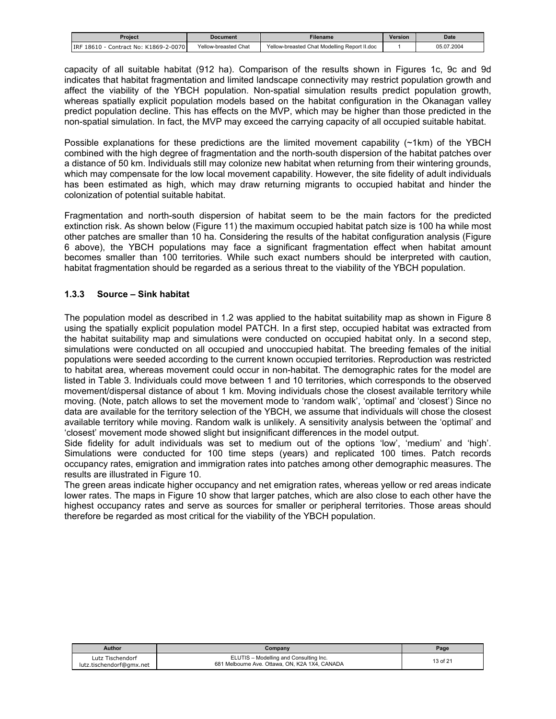<span id="page-12-0"></span>

| Proiect                                | <b>Document</b>           | Filename                                     | Version | <b>Date</b> |
|----------------------------------------|---------------------------|----------------------------------------------|---------|-------------|
| Contract No: K1869-2-0070<br>IRF 18610 | ' Chat<br>Yellow-breasted | Yellow-breasted Chat Modelling Report II.doc |         | 05.07.2004  |

capacity of all suitable habitat (912 ha). Comparison of the results shown in Figures 1c, 9c and 9d indicates that habitat fragmentation and limited landscape connectivity may restrict population growth and affect the viability of the YBCH population. Non-spatial simulation results predict population growth, whereas spatially explicit population models based on the habitat configuration in the Okanagan valley predict population decline. This has effects on the MVP, which may be higher than those predicted in the non-spatial simulation. In fact, the MVP may exceed the carrying capacity of all occupied suitable habitat.

Possible explanations for these predictions are the limited movement capability (~1km) of the YBCH combined with the high degree of fragmentation and the north-south dispersion of the habitat patches over a distance of 50 km. Individuals still may colonize new habitat when returning from their wintering grounds, which may compensate for the low local movement capability. However, the site fidelity of adult individuals has been estimated as high, which may draw returning migrants to occupied habitat and hinder the colonization of potential suitable habitat.

Fragmentation and north-south dispersion of habitat seem to be the main factors for the predicted extinction risk. As shown below (Figure 11) the maximum occupied habitat patch size is 100 ha while most other patches are smaller than 10 ha. Considering the results of the habitat configuration analysis (Figure 6 above), the YBCH populations may face a significant fragmentation effect when habitat amount becomes smaller than 100 territories. While such exact numbers should be interpreted with caution, habitat fragmentation should be regarded as a serious threat to the viability of the YBCH population.

# **1.3.3 Source – Sink habitat**

The population model as described in 1.2 was applied to the habitat suitability map as shown in Figure 8 using the spatially explicit population model PATCH. In a first step, occupied habitat was extracted from the habitat suitability map and simulations were conducted on occupied habitat only. In a second step, simulations were conducted on all occupied and unoccupied habitat. The breeding females of the initial populations were seeded according to the current known occupied territories. Reproduction was restricted to habitat area, whereas movement could occur in non-habitat. The demographic rates for the model are listed in Table 3. Individuals could move between 1 and 10 territories, which corresponds to the observed movement/dispersal distance of about 1 km. Moving individuals chose the closest available territory while moving. (Note, patch allows to set the movement mode to 'random walk', 'optimal' and 'closest') Since no data are available for the territory selection of the YBCH, we assume that individuals will chose the closest available territory while moving. Random walk is unlikely. A sensitivity analysis between the 'optimal' and 'closest' movement mode showed slight but insignificant differences in the model output.

Side fidelity for adult individuals was set to medium out of the options 'low', 'medium' and 'high'. Simulations were conducted for 100 time steps (years) and replicated 100 times. Patch records occupancy rates, emigration and immigration rates into patches among other demographic measures. The results are illustrated in Figure 10.

The green areas indicate higher occupancy and net emigration rates, whereas yellow or red areas indicate lower rates. The maps in Figure 10 show that larger patches, which are also close to each other have the highest occupancy rates and serve as sources for smaller or peripheral territories. Those areas should therefore be regarded as most critical for the viability of the YBCH population.

| <b>Author</b>                                | Company                                                                                  | Page     |
|----------------------------------------------|------------------------------------------------------------------------------------------|----------|
| Lutz Tischendorf<br>lutz.tischendorf@gmx.net | ELUTIS - Modelling and Consulting Inc.<br>681 Melbourne Ave. Ottawa, ON, K2A 1X4, CANADA | 13 of 21 |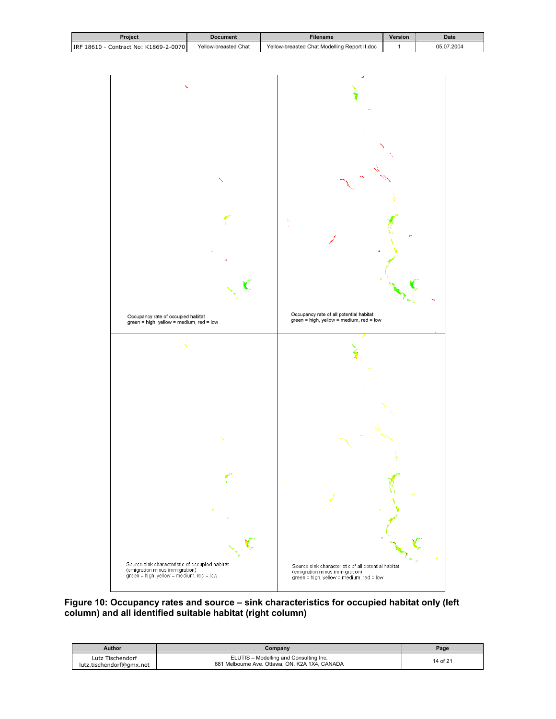<span id="page-13-0"></span>

| Proiect                               | <b>Document</b>      | <b>Filename</b>                              | <b>Version</b> | <b>Date</b> |
|---------------------------------------|----------------------|----------------------------------------------|----------------|-------------|
| IRF 18610 - Contract No: K1869-2-0070 | Yellow-breasted Chat | Yellow-breasted Chat Modelling Report II.doc |                | 05.07.2004  |



**Figure 10: Occupancy rates and source – sink characteristics for occupied habitat only (left column) and all identified suitable habitat (right column)** 

| Author                                       | Company                                                                                  | Page     |
|----------------------------------------------|------------------------------------------------------------------------------------------|----------|
| Lutz Tischendorf<br>lutz.tischendorf@gmx.net | ELUTIS - Modelling and Consulting Inc.<br>681 Melbourne Ave. Ottawa, ON, K2A 1X4, CANADA | 14 of 21 |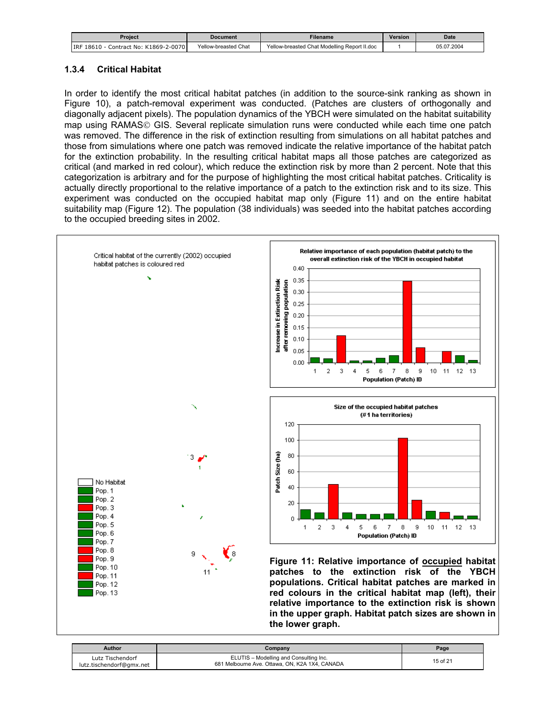<span id="page-14-0"></span>

| Proiect                                  | <b>Document</b>      | Filename                                     | <b>Version</b> | <b>Date</b> |
|------------------------------------------|----------------------|----------------------------------------------|----------------|-------------|
| Contract No: K1869-2-0070<br>IRF 18610 - | Yellow-breasted Chat | Yellow-breasted Chat Modelling Report II.doc |                | 05.07.2004  |

# **1.3.4 Critical Habitat**

In order to identify the most critical habitat patches (in addition to the source-sink ranking as shown in Figure 10), a patch-removal experiment was conducted. (Patches are clusters of orthogonally and diagonally adjacent pixels). The population dynamics of the YBCH were simulated on the habitat suitability map using RAMAS© GIS. Several replicate simulation runs were conducted while each time one patch was removed. The difference in the risk of extinction resulting from simulations on all habitat patches and those from simulations where one patch was removed indicate the relative importance of the habitat patch for the extinction probability. In the resulting critical habitat maps all those patches are categorized as critical (and marked in red colour), which reduce the extinction risk by more than 2 percent. Note that this categorization is arbitrary and for the purpose of highlighting the most critical habitat patches. Criticality is actually directly proportional to the relative importance of a patch to the extinction risk and to its size. This experiment was conducted on the occupied habitat map only (Figure 11) and on the entire habitat suitability map (Figure 12). The population (38 individuals) was seeded into the habitat patches according to the occupied breeding sites in 2002.



| Author                                       | Companv                                                                                  | Page     |
|----------------------------------------------|------------------------------------------------------------------------------------------|----------|
| Lutz Tischendorf<br>lutz.tischendorf@gmx.net | ELUTIS - Modelling and Consulting Inc.<br>681 Melbourne Ave. Ottawa, ON, K2A 1X4, CANADA | 15 of 21 |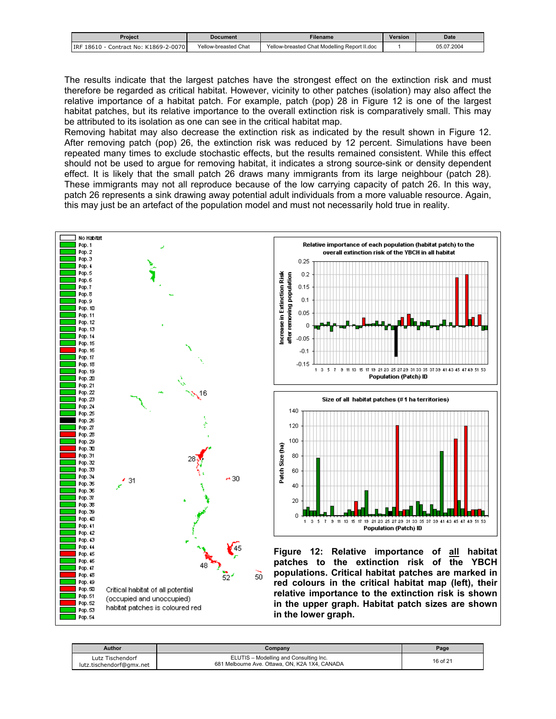<span id="page-15-0"></span>

| Proiect                                  | <b>Document</b>      | Filename                                     | <b>Version</b> | <b>Date</b> |
|------------------------------------------|----------------------|----------------------------------------------|----------------|-------------|
| Contract No: K1869-2-0070<br>IRF 18610 - | Yellow-breasted Chat | Yellow-breasted Chat Modelling Report II.doc |                | 05.07.2004  |

The results indicate that the largest patches have the strongest effect on the extinction risk and must therefore be regarded as critical habitat. However, vicinity to other patches (isolation) may also affect the relative importance of a habitat patch. For example, patch (pop) 28 in Figure 12 is one of the largest habitat patches, but its relative importance to the overall extinction risk is comparatively small. This may be attributed to its isolation as one can see in the critical habitat map.

Removing habitat may also decrease the extinction risk as indicated by the result shown in Figure 12. After removing patch (pop) 26, the extinction risk was reduced by 12 percent. Simulations have been repeated many times to exclude stochastic effects, but the results remained consistent. While this effect should not be used to argue for removing habitat, it indicates a strong source-sink or density dependent effect. It is likely that the small patch 26 draws many immigrants from its large neighbour (patch 28). These immigrants may not all reproduce because of the low carrying capacity of patch 26. In this way, patch 26 represents a sink drawing away potential adult individuals from a more valuable resource. Again, this may just be an artefact of the population model and must not necessarily hold true in reality.



| <b>Author</b>                                | Company                                                                                  | Page     |
|----------------------------------------------|------------------------------------------------------------------------------------------|----------|
| Lutz Tischendorf<br>lutz.tischendorf@gmx.net | ELUTIS - Modelling and Consulting Inc.<br>681 Melbourne Ave. Ottawa, ON, K2A 1X4, CANADA | 16 of 21 |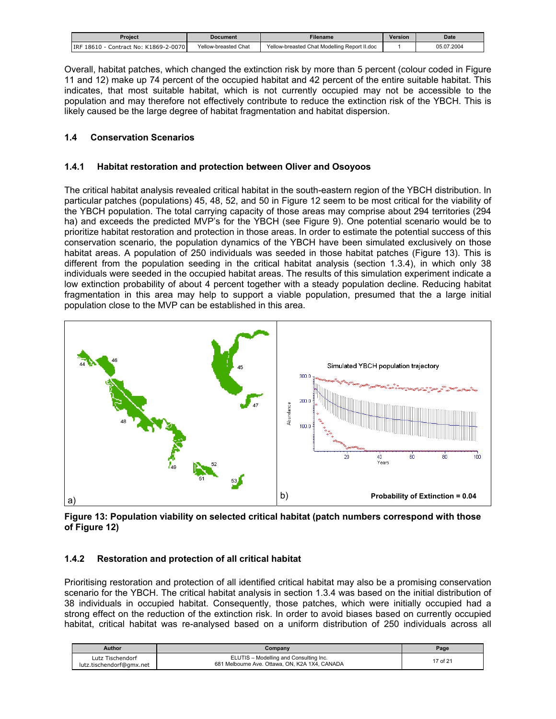<span id="page-16-0"></span>

| Proiect                                    | Document             | Filename                                     | <b>Version</b> | <b>Date</b> |
|--------------------------------------------|----------------------|----------------------------------------------|----------------|-------------|
| ) - Contract No: K1869-2-0070<br>IRF 18610 | Yellow-breasted Chat | Yellow-breasted Chat Modelling Report II.doc |                | 05.07.2004  |

Overall, habitat patches, which changed the extinction risk by more than 5 percent (colour coded in Figure 11 and 12) make up 74 percent of the occupied habitat and 42 percent of the entire suitable habitat. This indicates, that most suitable habitat, which is not currently occupied may not be accessible to the population and may therefore not effectively contribute to reduce the extinction risk of the YBCH. This is likely caused be the large degree of habitat fragmentation and habitat dispersion.

## **1.4 Conservation Scenarios**

## **1.4.1 Habitat restoration and protection between Oliver and Osoyoos**

The critical habitat analysis revealed critical habitat in the south-eastern region of the YBCH distribution. In particular patches (populations) 45, 48, 52, and 50 in Figure 12 seem to be most critical for the viability of the YBCH population. The total carrying capacity of those areas may comprise about 294 territories (294 ha) and exceeds the predicted MVP's for the YBCH (see Figure 9). One potential scenario would be to prioritize habitat restoration and protection in those areas. In order to estimate the potential success of this conservation scenario, the population dynamics of the YBCH have been simulated exclusively on those habitat areas. A population of 250 individuals was seeded in those habitat patches (Figure 13). This is different from the population seeding in the critical habitat analysis (section 1.3.4), in which only 38 individuals were seeded in the occupied habitat areas. The results of this simulation experiment indicate a low extinction probability of about 4 percent together with a steady population decline. Reducing habitat fragmentation in this area may help to support a viable population, presumed that the a large initial population close to the MVP can be established in this area.



**Figure 13: Population viability on selected critical habitat (patch numbers correspond with those of Figure 12)** 

#### **1.4.2 Restoration and protection of all critical habitat**

Prioritising restoration and protection of all identified critical habitat may also be a promising conservation scenario for the YBCH. The critical habitat analysis in section 1.3.4 was based on the initial distribution of 38 individuals in occupied habitat. Consequently, those patches, which were initially occupied had a strong effect on the reduction of the extinction risk. In order to avoid biases based on currently occupied habitat, critical habitat was re-analysed based on a uniform distribution of 250 individuals across all

| Author                                       | Company                                                                                  | Page     |
|----------------------------------------------|------------------------------------------------------------------------------------------|----------|
| Lutz Tischendorf<br>lutz.tischendorf@gmx.net | ELUTIS - Modelling and Consulting Inc.<br>681 Melbourne Ave. Ottawa, ON, K2A 1X4, CANADA | 17 of 21 |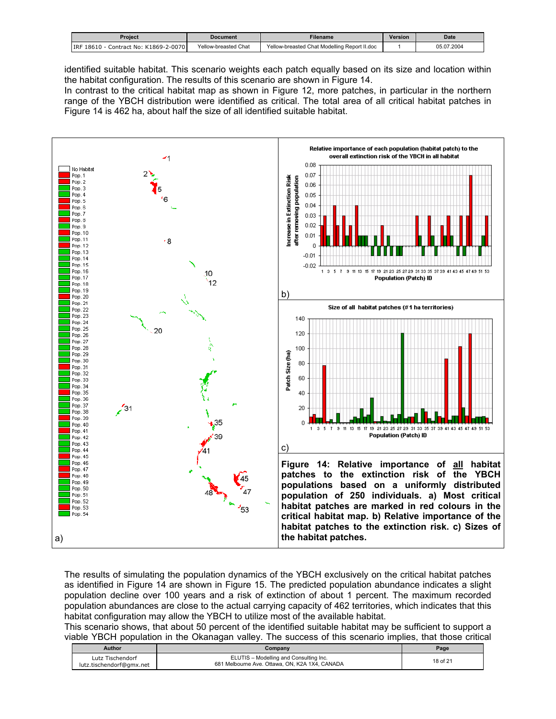<span id="page-17-0"></span>

| Proiect                                | Document             | Filename                                     | <b>Version</b> | <b>Date</b> |
|----------------------------------------|----------------------|----------------------------------------------|----------------|-------------|
| IRF 18610<br>Contract No: K1869-2-0070 | Yellow-breasted Chat | Yellow-breasted Chat Modelling Report II.doc |                | 05.07.2004  |

identified suitable habitat. This scenario weights each patch equally based on its size and location within the habitat configuration. The results of this scenario are shown in Figure 14.

In contrast to the critical habitat map as shown in Figure 12, more patches, in particular in the northern range of the YBCH distribution were identified as critical. The total area of all critical habitat patches in Figure 14 is 462 ha, about half the size of all identified suitable habitat.



The results of simulating the population dynamics of the YBCH exclusively on the critical habitat patches as identified in Figure 14 are shown in Figure 15. The predicted population abundance indicates a slight population decline over 100 years and a risk of extinction of about 1 percent. The maximum recorded population abundances are close to the actual carrying capacity of 462 territories, which indicates that this habitat configuration may allow the YBCH to utilize most of the available habitat.

This scenario shows, that about 50 percent of the identified suitable habitat may be sufficient to support a viable YBCH population in the Okanagan valley. The success of this scenario implies, that those critical

| Author                                       | Company                                                                                  | Page     |
|----------------------------------------------|------------------------------------------------------------------------------------------|----------|
| Lutz Tischendorf<br>lutz.tischendorf@gmx.net | ELUTIS - Modelling and Consulting Inc.<br>681 Melbourne Ave. Ottawa, ON, K2A 1X4, CANADA | 18 of 21 |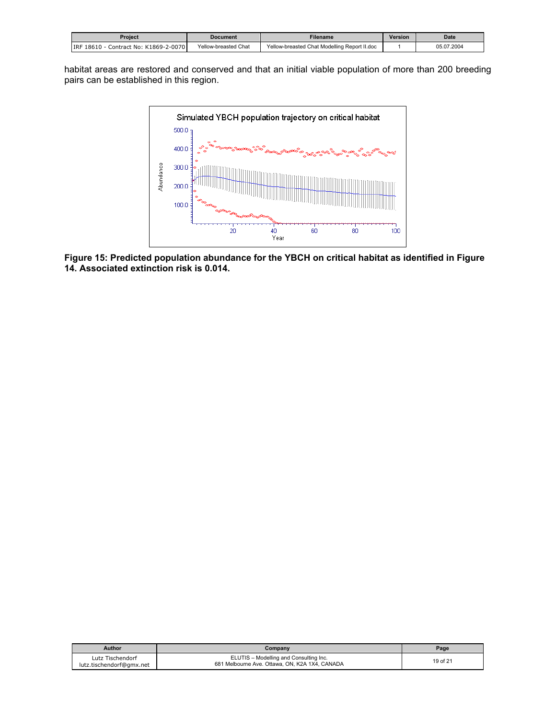<span id="page-18-0"></span>

|                                        |                      | -ilename                                     | <b>Version</b> | <b>Date</b> |
|----------------------------------------|----------------------|----------------------------------------------|----------------|-------------|
| Proiect                                | Document             |                                              |                |             |
| Contract No: K1869-2-0070<br>IRF 18610 | Yellow-breasted Chat | Yellow-breasted Chat Modelling Report II.doc |                | 05.07.2004  |

habitat areas are restored and conserved and that an initial viable population of more than 200 breeding pairs can be established in this region.



**Figure 15: Predicted population abundance for the YBCH on critical habitat as identified in Figure 14. Associated extinction risk is 0.014.** 

| <b>Author</b>                                | Company                                                                                  | Page     |
|----------------------------------------------|------------------------------------------------------------------------------------------|----------|
| Lutz Tischendorf<br>lutz.tischendorf@gmx.net | ELUTIS - Modelling and Consulting Inc.<br>681 Melbourne Ave. Ottawa, ON, K2A 1X4, CANADA | 19 of 21 |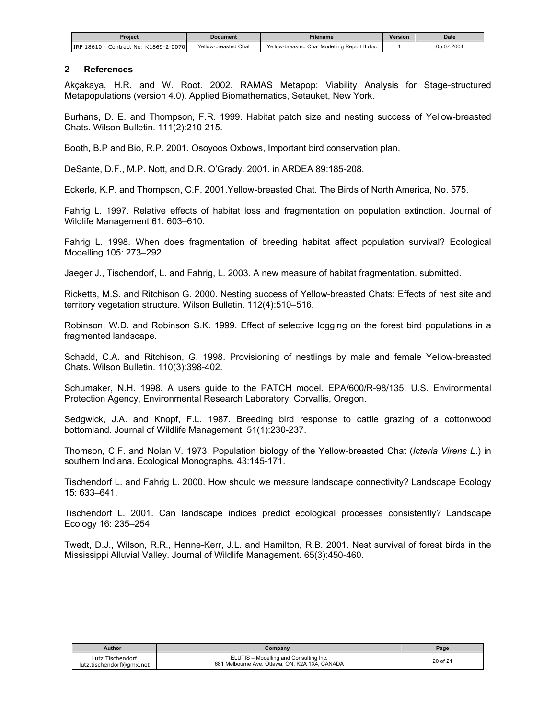<span id="page-19-0"></span>

| Proiect                                    | Document             | Filename                                     | <b>Version</b> | <b>Date</b> |
|--------------------------------------------|----------------------|----------------------------------------------|----------------|-------------|
| Contract No: K1869-2-0070<br>IRF 18610 - 0 | Yellow-breasted Chat | Yellow-breasted Chat Modelling Report II.doc |                | 05.07.2004  |

#### **2 References**

Akçakaya, H.R. and W. Root. 2002. RAMAS Metapop: Viability Analysis for Stage-structured Metapopulations (version 4.0). Applied Biomathematics, Setauket, New York.

Burhans, D. E. and Thompson, F.R. 1999. Habitat patch size and nesting success of Yellow-breasted Chats. Wilson Bulletin. 111(2):210-215.

Booth, B.P and Bio, R.P. 2001. Osoyoos Oxbows, Important bird conservation plan.

DeSante, D.F., M.P. Nott, and D.R. O'Grady. 2001. in ARDEA 89:185-208.

Eckerle, K.P. and Thompson, C.F. 2001.Yellow-breasted Chat. The Birds of North America, No. 575.

Fahrig L. 1997. Relative effects of habitat loss and fragmentation on population extinction. Journal of Wildlife Management 61: 603–610.

Fahrig L. 1998. When does fragmentation of breeding habitat affect population survival? Ecological Modelling 105: 273–292.

Jaeger J., Tischendorf, L. and Fahrig, L. 2003. A new measure of habitat fragmentation. submitted.

Ricketts, M.S. and Ritchison G. 2000. Nesting success of Yellow-breasted Chats: Effects of nest site and territory vegetation structure. Wilson Bulletin. 112(4):510–516.

Robinson, W.D. and Robinson S.K. 1999. Effect of selective logging on the forest bird populations in a fragmented landscape.

Schadd, C.A. and Ritchison, G. 1998. Provisioning of nestlings by male and female Yellow-breasted Chats. Wilson Bulletin. 110(3):398-402.

Schumaker, N.H. 1998. A users guide to the PATCH model. EPA/600/R-98/135. U.S. Environmental Protection Agency, Environmental Research Laboratory, Corvallis, Oregon.

Sedgwick, J.A. and Knopf, F.L. 1987. Breeding bird response to cattle grazing of a cottonwood bottomland. Journal of Wildlife Management. 51(1):230-237.

Thomson, C.F. and Nolan V. 1973. Population biology of the Yellow-breasted Chat (*Icteria Virens L*.) in southern Indiana. Ecological Monographs. 43:145-171.

Tischendorf L. and Fahrig L. 2000. How should we measure landscape connectivity? Landscape Ecology 15: 633–641.

Tischendorf L. 2001. Can landscape indices predict ecological processes consistently? Landscape Ecology 16: 235–254.

Twedt, D.J., Wilson, R.R., Henne-Kerr, J.L. and Hamilton, R.B. 2001. Nest survival of forest birds in the Mississippi Alluvial Valley. Journal of Wildlife Management. 65(3):450-460.

| Author                                       | Company                                                                                  | $P$ age  |
|----------------------------------------------|------------------------------------------------------------------------------------------|----------|
| Lutz Tischendorf<br>lutz.tischendorf@gmx.net | ELUTIS - Modelling and Consulting Inc.<br>681 Melbourne Ave. Ottawa, ON, K2A 1X4, CANADA | 20 of 21 |